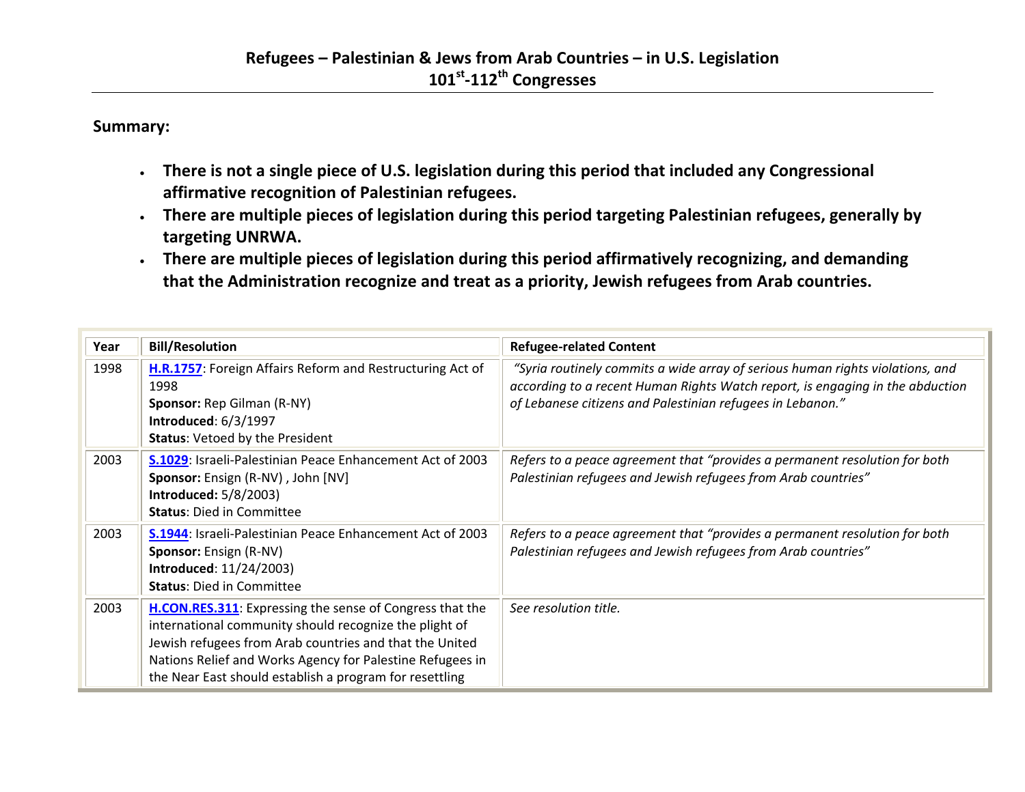**Summary:** 

- **There is not a single piece of U.S. legislation during this period that included any Congressional affirmative recognition of Palestinian refugees.**
- **There are multiple pieces of legislation during this period targeting Palestinian refugees, generally by targeting UNRWA.**
- **There are multiple pieces of legislation during this period affirmatively recognizing, and demanding that the Administration recognize and treat as a priority, Jewish refugees from Arab countries.**

| Year | <b>Bill/Resolution</b>                                                                                                                                                                                                                                                                                | <b>Refugee-related Content</b>                                                                                                                                                                                               |
|------|-------------------------------------------------------------------------------------------------------------------------------------------------------------------------------------------------------------------------------------------------------------------------------------------------------|------------------------------------------------------------------------------------------------------------------------------------------------------------------------------------------------------------------------------|
| 1998 | H.R.1757: Foreign Affairs Reform and Restructuring Act of<br>1998<br>Sponsor: Rep Gilman (R-NY)<br><b>Introduced: 6/3/1997</b><br><b>Status: Vetoed by the President</b>                                                                                                                              | "Syria routinely commits a wide array of serious human rights violations, and<br>according to a recent Human Rights Watch report, is engaging in the abduction<br>of Lebanese citizens and Palestinian refugees in Lebanon." |
| 2003 | S.1029: Israeli-Palestinian Peace Enhancement Act of 2003<br>Sponsor: Ensign (R-NV), John [NV]<br><b>Introduced: 5/8/2003)</b><br><b>Status: Died in Committee</b>                                                                                                                                    | Refers to a peace agreement that "provides a permanent resolution for both<br>Palestinian refugees and Jewish refugees from Arab countries"                                                                                  |
| 2003 | S.1944: Israeli-Palestinian Peace Enhancement Act of 2003<br>Sponsor: Ensign (R-NV)<br><b>Introduced: 11/24/2003)</b><br><b>Status: Died in Committee</b>                                                                                                                                             | Refers to a peace agreement that "provides a permanent resolution for both<br>Palestinian refugees and Jewish refugees from Arab countries"                                                                                  |
| 2003 | H.CON.RES.311: Expressing the sense of Congress that the<br>international community should recognize the plight of<br>Jewish refugees from Arab countries and that the United<br>Nations Relief and Works Agency for Palestine Refugees in<br>the Near East should establish a program for resettling | See resolution title.                                                                                                                                                                                                        |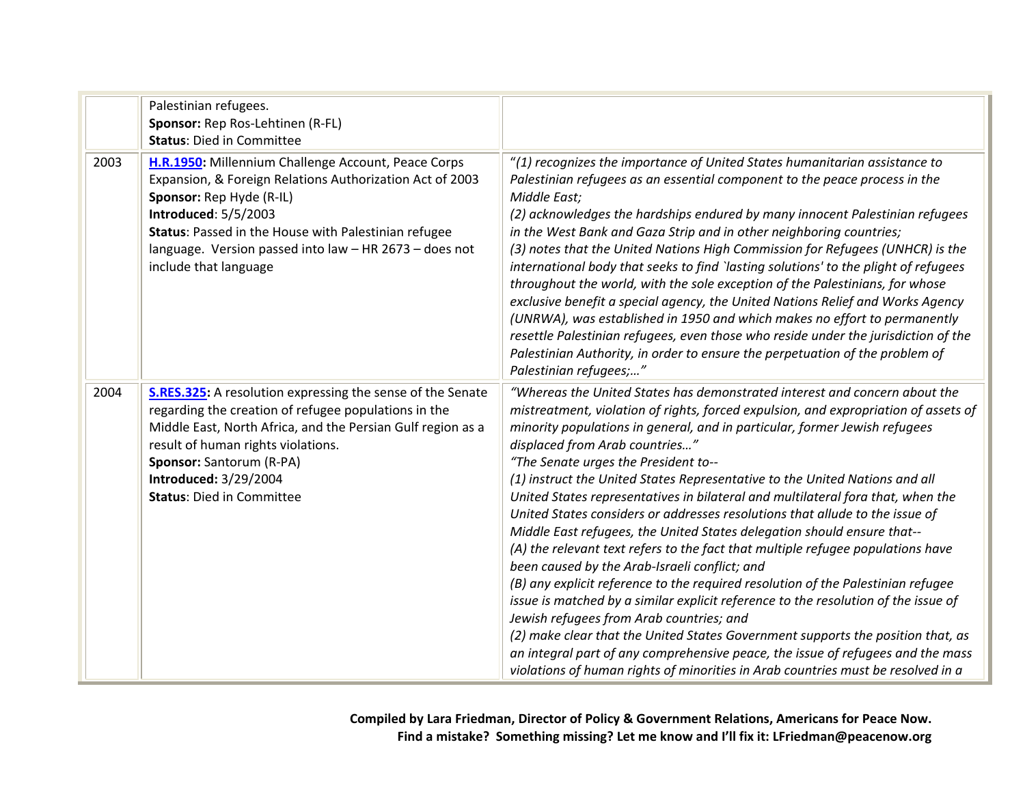|      | Palestinian refugees.<br>Sponsor: Rep Ros-Lehtinen (R-FL)<br><b>Status: Died in Committee</b>                                                                                                                                                                                                                                  |                                                                                                                                                                                                                                                                                                                                                                                                                                                                                                                                                                                                                                                                                                                                                                                                                                                                                                                                                                                                                                                                                                                                                                                                                                                                            |
|------|--------------------------------------------------------------------------------------------------------------------------------------------------------------------------------------------------------------------------------------------------------------------------------------------------------------------------------|----------------------------------------------------------------------------------------------------------------------------------------------------------------------------------------------------------------------------------------------------------------------------------------------------------------------------------------------------------------------------------------------------------------------------------------------------------------------------------------------------------------------------------------------------------------------------------------------------------------------------------------------------------------------------------------------------------------------------------------------------------------------------------------------------------------------------------------------------------------------------------------------------------------------------------------------------------------------------------------------------------------------------------------------------------------------------------------------------------------------------------------------------------------------------------------------------------------------------------------------------------------------------|
| 2003 | H.R.1950: Millennium Challenge Account, Peace Corps<br>Expansion, & Foreign Relations Authorization Act of 2003<br>Sponsor: Rep Hyde (R-IL)<br><b>Introduced: 5/5/2003</b><br>Status: Passed in the House with Palestinian refugee<br>language. Version passed into law - HR 2673 - does not<br>include that language          | "(1) recognizes the importance of United States humanitarian assistance to<br>Palestinian refugees as an essential component to the peace process in the<br>Middle East;<br>(2) acknowledges the hardships endured by many innocent Palestinian refugees<br>in the West Bank and Gaza Strip and in other neighboring countries;<br>(3) notes that the United Nations High Commission for Refugees (UNHCR) is the<br>international body that seeks to find `lasting solutions' to the plight of refugees<br>throughout the world, with the sole exception of the Palestinians, for whose<br>exclusive benefit a special agency, the United Nations Relief and Works Agency<br>(UNRWA), was established in 1950 and which makes no effort to permanently<br>resettle Palestinian refugees, even those who reside under the jurisdiction of the<br>Palestinian Authority, in order to ensure the perpetuation of the problem of<br>Palestinian refugees;"                                                                                                                                                                                                                                                                                                                     |
| 2004 | <b>S.RES.325:</b> A resolution expressing the sense of the Senate<br>regarding the creation of refugee populations in the<br>Middle East, North Africa, and the Persian Gulf region as a<br>result of human rights violations.<br>Sponsor: Santorum (R-PA)<br><b>Introduced: 3/29/2004</b><br><b>Status: Died in Committee</b> | "Whereas the United States has demonstrated interest and concern about the<br>mistreatment, violation of rights, forced expulsion, and expropriation of assets of<br>minority populations in general, and in particular, former Jewish refugees<br>displaced from Arab countries"<br>"The Senate urges the President to--<br>(1) instruct the United States Representative to the United Nations and all<br>United States representatives in bilateral and multilateral fora that, when the<br>United States considers or addresses resolutions that allude to the issue of<br>Middle East refugees, the United States delegation should ensure that--<br>(A) the relevant text refers to the fact that multiple refugee populations have<br>been caused by the Arab-Israeli conflict; and<br>(B) any explicit reference to the required resolution of the Palestinian refugee<br>issue is matched by a similar explicit reference to the resolution of the issue of<br>Jewish refugees from Arab countries; and<br>(2) make clear that the United States Government supports the position that, as<br>an integral part of any comprehensive peace, the issue of refugees and the mass<br>violations of human rights of minorities in Arab countries must be resolved in a |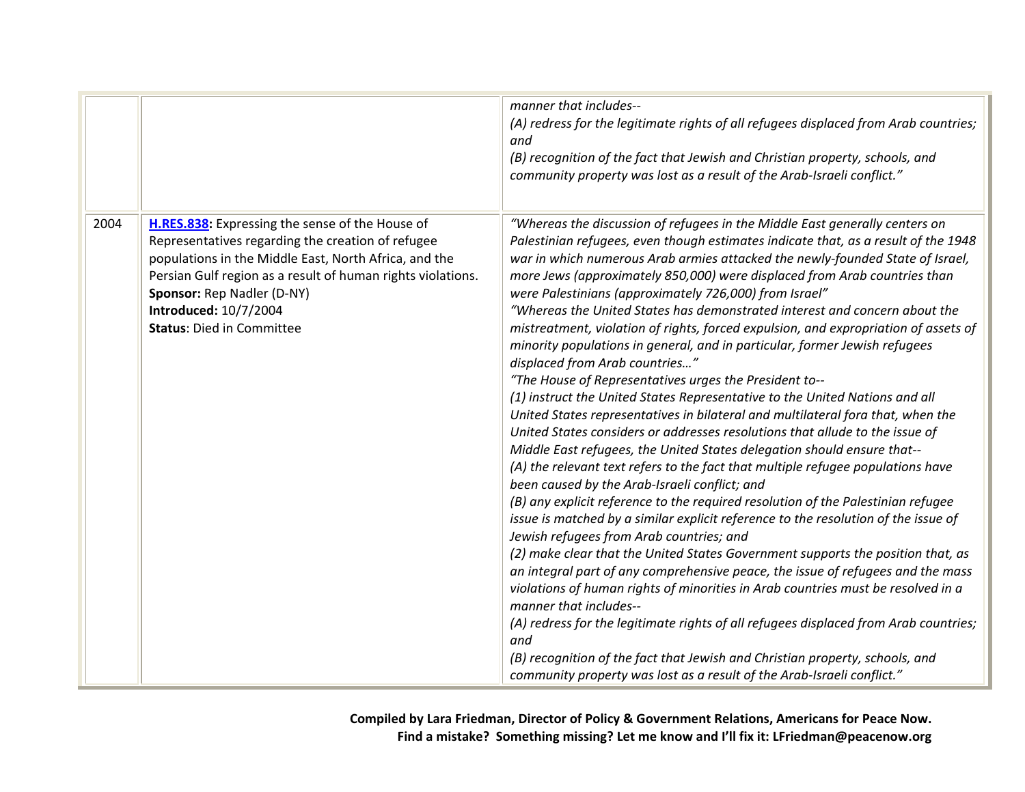|      |                                                                                                                                                                                                                                                                                                                         | manner that includes--<br>(A) redress for the legitimate rights of all refugees displaced from Arab countries;<br>and<br>(B) recognition of the fact that Jewish and Christian property, schools, and<br>community property was lost as a result of the Arab-Israeli conflict."                                                                                                                                                                                                                                                                                                                                                                                                                                                                                                                                                                                                                                                                                                                                                                                                                                                                                                                                                                                                                                                                                                                                                                                                                                                                                                                                                                                                                                                                                                                                                                                                                                                                                              |
|------|-------------------------------------------------------------------------------------------------------------------------------------------------------------------------------------------------------------------------------------------------------------------------------------------------------------------------|------------------------------------------------------------------------------------------------------------------------------------------------------------------------------------------------------------------------------------------------------------------------------------------------------------------------------------------------------------------------------------------------------------------------------------------------------------------------------------------------------------------------------------------------------------------------------------------------------------------------------------------------------------------------------------------------------------------------------------------------------------------------------------------------------------------------------------------------------------------------------------------------------------------------------------------------------------------------------------------------------------------------------------------------------------------------------------------------------------------------------------------------------------------------------------------------------------------------------------------------------------------------------------------------------------------------------------------------------------------------------------------------------------------------------------------------------------------------------------------------------------------------------------------------------------------------------------------------------------------------------------------------------------------------------------------------------------------------------------------------------------------------------------------------------------------------------------------------------------------------------------------------------------------------------------------------------------------------------|
| 2004 | H.RES.838: Expressing the sense of the House of<br>Representatives regarding the creation of refugee<br>populations in the Middle East, North Africa, and the<br>Persian Gulf region as a result of human rights violations.<br>Sponsor: Rep Nadler (D-NY)<br>Introduced: 10/7/2004<br><b>Status: Died in Committee</b> | "Whereas the discussion of refugees in the Middle East generally centers on<br>Palestinian refugees, even though estimates indicate that, as a result of the 1948<br>war in which numerous Arab armies attacked the newly-founded State of Israel,<br>more Jews (approximately 850,000) were displaced from Arab countries than<br>were Palestinians (approximately 726,000) from Israel"<br>"Whereas the United States has demonstrated interest and concern about the<br>mistreatment, violation of rights, forced expulsion, and expropriation of assets of<br>minority populations in general, and in particular, former Jewish refugees<br>displaced from Arab countries"<br>"The House of Representatives urges the President to--<br>(1) instruct the United States Representative to the United Nations and all<br>United States representatives in bilateral and multilateral fora that, when the<br>United States considers or addresses resolutions that allude to the issue of<br>Middle East refugees, the United States delegation should ensure that--<br>(A) the relevant text refers to the fact that multiple refugee populations have<br>been caused by the Arab-Israeli conflict; and<br>(B) any explicit reference to the required resolution of the Palestinian refugee<br>issue is matched by a similar explicit reference to the resolution of the issue of<br>Jewish refugees from Arab countries; and<br>(2) make clear that the United States Government supports the position that, as<br>an integral part of any comprehensive peace, the issue of refugees and the mass<br>violations of human rights of minorities in Arab countries must be resolved in a<br>manner that includes--<br>(A) redress for the legitimate rights of all refugees displaced from Arab countries;<br>and<br>(B) recognition of the fact that Jewish and Christian property, schools, and<br>community property was lost as a result of the Arab-Israeli conflict." |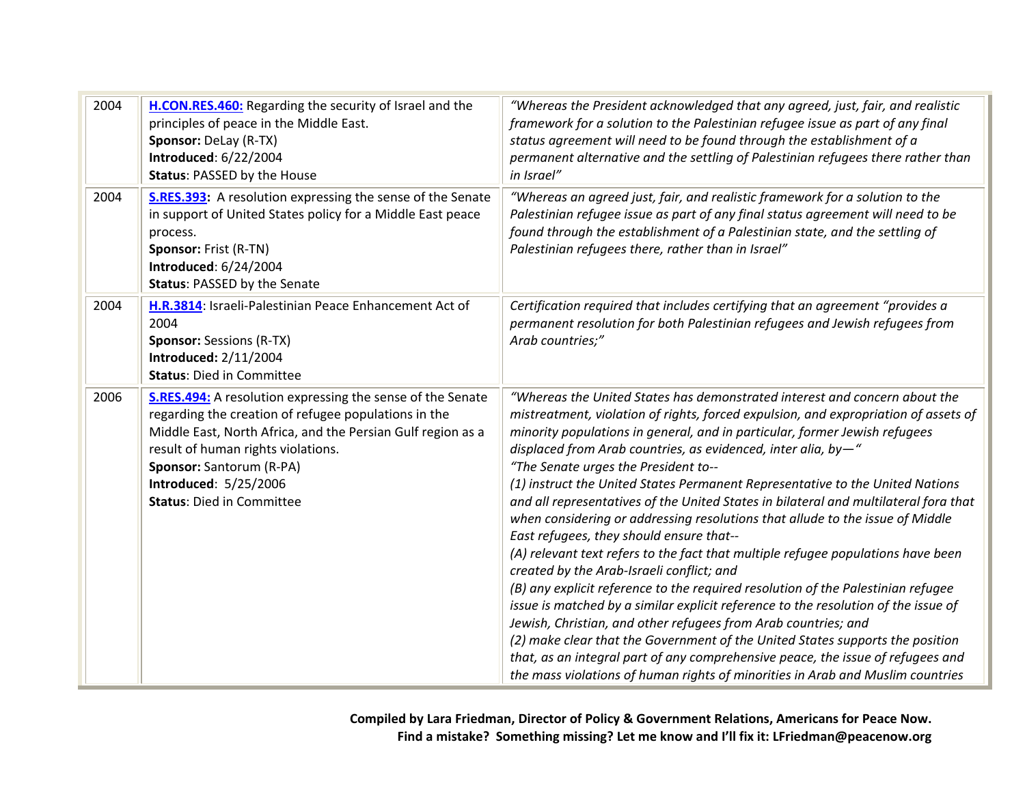| 2004 | H.CON.RES.460: Regarding the security of Israel and the<br>principles of peace in the Middle East.<br>Sponsor: DeLay (R-TX)<br><b>Introduced: 6/22/2004</b><br><b>Status: PASSED by the House</b>                                                                                                                              | "Whereas the President acknowledged that any agreed, just, fair, and realistic<br>framework for a solution to the Palestinian refugee issue as part of any final<br>status agreement will need to be found through the establishment of a<br>permanent alternative and the settling of Palestinian refugees there rather than<br>in Israel"                                                                                                                                                                                                                                                                                                                                                                                                                                                                                                                                                                                                                                                                                                                                                                                                                                                                                                                                                       |
|------|--------------------------------------------------------------------------------------------------------------------------------------------------------------------------------------------------------------------------------------------------------------------------------------------------------------------------------|---------------------------------------------------------------------------------------------------------------------------------------------------------------------------------------------------------------------------------------------------------------------------------------------------------------------------------------------------------------------------------------------------------------------------------------------------------------------------------------------------------------------------------------------------------------------------------------------------------------------------------------------------------------------------------------------------------------------------------------------------------------------------------------------------------------------------------------------------------------------------------------------------------------------------------------------------------------------------------------------------------------------------------------------------------------------------------------------------------------------------------------------------------------------------------------------------------------------------------------------------------------------------------------------------|
| 2004 | <b>S.RES.393:</b> A resolution expressing the sense of the Senate<br>in support of United States policy for a Middle East peace<br>process.<br>Sponsor: Frist (R-TN)<br><b>Introduced: 6/24/2004</b><br><b>Status: PASSED by the Senate</b>                                                                                    | "Whereas an agreed just, fair, and realistic framework for a solution to the<br>Palestinian refugee issue as part of any final status agreement will need to be<br>found through the establishment of a Palestinian state, and the settling of<br>Palestinian refugees there, rather than in Israel"                                                                                                                                                                                                                                                                                                                                                                                                                                                                                                                                                                                                                                                                                                                                                                                                                                                                                                                                                                                              |
| 2004 | H.R.3814: Israeli-Palestinian Peace Enhancement Act of<br>2004<br><b>Sponsor: Sessions (R-TX)</b><br><b>Introduced: 2/11/2004</b><br><b>Status: Died in Committee</b>                                                                                                                                                          | Certification required that includes certifying that an agreement "provides a<br>permanent resolution for both Palestinian refugees and Jewish refugees from<br>Arab countries;"                                                                                                                                                                                                                                                                                                                                                                                                                                                                                                                                                                                                                                                                                                                                                                                                                                                                                                                                                                                                                                                                                                                  |
| 2006 | <b>S.RES.494:</b> A resolution expressing the sense of the Senate<br>regarding the creation of refugee populations in the<br>Middle East, North Africa, and the Persian Gulf region as a<br>result of human rights violations.<br>Sponsor: Santorum (R-PA)<br><b>Introduced: 5/25/2006</b><br><b>Status: Died in Committee</b> | "Whereas the United States has demonstrated interest and concern about the<br>mistreatment, violation of rights, forced expulsion, and expropriation of assets of<br>minority populations in general, and in particular, former Jewish refugees<br>displaced from Arab countries, as evidenced, inter alia, by-"<br>"The Senate urges the President to--<br>(1) instruct the United States Permanent Representative to the United Nations<br>and all representatives of the United States in bilateral and multilateral fora that<br>when considering or addressing resolutions that allude to the issue of Middle<br>East refugees, they should ensure that--<br>(A) relevant text refers to the fact that multiple refugee populations have been<br>created by the Arab-Israeli conflict; and<br>(B) any explicit reference to the required resolution of the Palestinian refugee<br>issue is matched by a similar explicit reference to the resolution of the issue of<br>Jewish, Christian, and other refugees from Arab countries; and<br>(2) make clear that the Government of the United States supports the position<br>that, as an integral part of any comprehensive peace, the issue of refugees and<br>the mass violations of human rights of minorities in Arab and Muslim countries |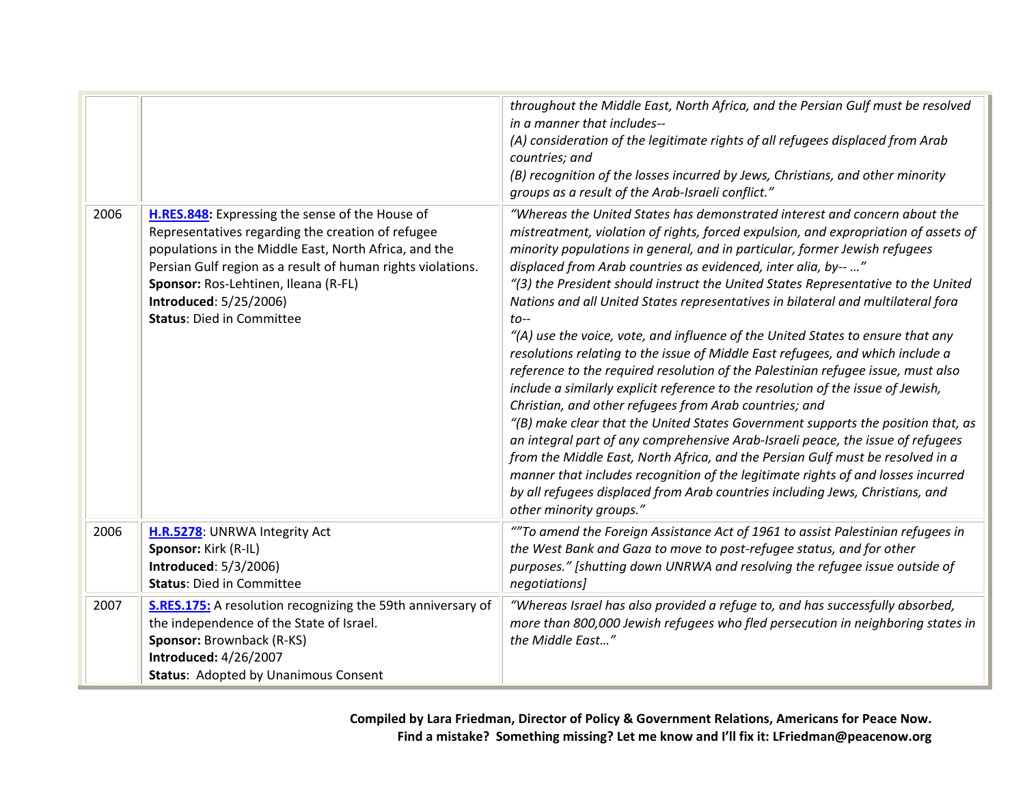|      |                                                                                                                                                                                                                                                                                                                                    | throughout the Middle East, North Africa, and the Persian Gulf must be resolved<br>in a manner that includes--<br>(A) consideration of the legitimate rights of all refugees displaced from Arab<br>countries; and<br>(B) recognition of the losses incurred by Jews, Christians, and other minority<br>groups as a result of the Arab-Israeli conflict."                                                                                                                                                                                                                                                                                                                                                                                                                                                                                                                                                                                                                                                                                                                                                                                                                                                                                                                                                                                                             |
|------|------------------------------------------------------------------------------------------------------------------------------------------------------------------------------------------------------------------------------------------------------------------------------------------------------------------------------------|-----------------------------------------------------------------------------------------------------------------------------------------------------------------------------------------------------------------------------------------------------------------------------------------------------------------------------------------------------------------------------------------------------------------------------------------------------------------------------------------------------------------------------------------------------------------------------------------------------------------------------------------------------------------------------------------------------------------------------------------------------------------------------------------------------------------------------------------------------------------------------------------------------------------------------------------------------------------------------------------------------------------------------------------------------------------------------------------------------------------------------------------------------------------------------------------------------------------------------------------------------------------------------------------------------------------------------------------------------------------------|
| 2006 | H.RES.848: Expressing the sense of the House of<br>Representatives regarding the creation of refugee<br>populations in the Middle East, North Africa, and the<br>Persian Gulf region as a result of human rights violations.<br>Sponsor: Ros-Lehtinen, Ileana (R-FL)<br>Introduced: 5/25/2006)<br><b>Status: Died in Committee</b> | "Whereas the United States has demonstrated interest and concern about the<br>mistreatment, violation of rights, forced expulsion, and expropriation of assets of<br>minority populations in general, and in particular, former Jewish refugees<br>displaced from Arab countries as evidenced, inter alia, by-- "<br>"(3) the President should instruct the United States Representative to the United<br>Nations and all United States representatives in bilateral and multilateral fora<br>$to --$<br>"(A) use the voice, vote, and influence of the United States to ensure that any<br>resolutions relating to the issue of Middle East refugees, and which include a<br>reference to the required resolution of the Palestinian refugee issue, must also<br>include a similarly explicit reference to the resolution of the issue of Jewish,<br>Christian, and other refugees from Arab countries; and<br>"(B) make clear that the United States Government supports the position that, as<br>an integral part of any comprehensive Arab-Israeli peace, the issue of refugees<br>from the Middle East, North Africa, and the Persian Gulf must be resolved in a<br>manner that includes recognition of the legitimate rights of and losses incurred<br>by all refugees displaced from Arab countries including Jews, Christians, and<br>other minority groups." |
| 2006 | H.R.5278: UNRWA Integrity Act<br>Sponsor: Kirk (R-IL)<br><b>Introduced: 5/3/2006)</b><br><b>Status: Died in Committee</b>                                                                                                                                                                                                          | ""To amend the Foreign Assistance Act of 1961 to assist Palestinian refugees in<br>the West Bank and Gaza to move to post-refugee status, and for other<br>purposes." [shutting down UNRWA and resolving the refugee issue outside of<br>negotiations]                                                                                                                                                                                                                                                                                                                                                                                                                                                                                                                                                                                                                                                                                                                                                                                                                                                                                                                                                                                                                                                                                                                |
| 2007 | <b>S.RES.175:</b> A resolution recognizing the 59th anniversary of<br>the independence of the State of Israel.<br>Sponsor: Brownback (R-KS)<br><b>Introduced: 4/26/2007</b><br>Status: Adopted by Unanimous Consent                                                                                                                | "Whereas Israel has also provided a refuge to, and has successfully absorbed,<br>more than 800,000 Jewish refugees who fled persecution in neighboring states in<br>the Middle East"                                                                                                                                                                                                                                                                                                                                                                                                                                                                                                                                                                                                                                                                                                                                                                                                                                                                                                                                                                                                                                                                                                                                                                                  |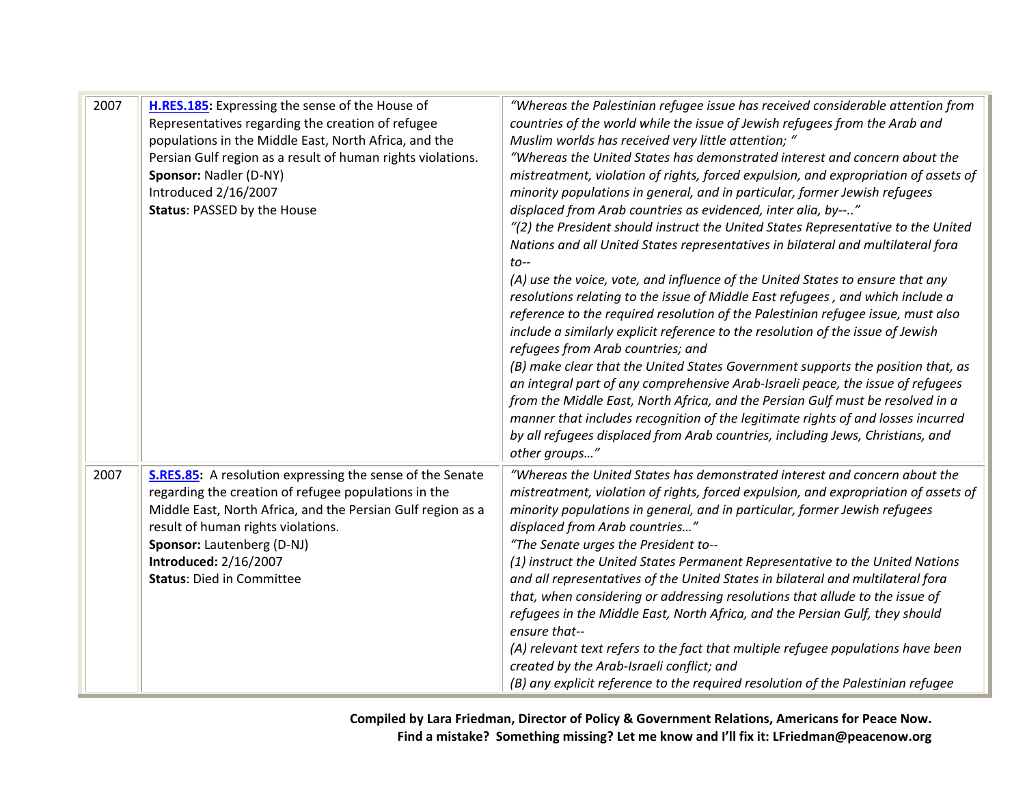| 2007 | H.RES.185: Expressing the sense of the House of<br>Representatives regarding the creation of refugee<br>populations in the Middle East, North Africa, and the<br>Persian Gulf region as a result of human rights violations.<br>Sponsor: Nadler (D-NY)<br>Introduced 2/16/2007<br><b>Status: PASSED by the House</b>            | "Whereas the Palestinian refugee issue has received considerable attention from<br>countries of the world while the issue of Jewish refugees from the Arab and<br>Muslim worlds has received very little attention; "<br>"Whereas the United States has demonstrated interest and concern about the<br>mistreatment, violation of rights, forced expulsion, and expropriation of assets of<br>minority populations in general, and in particular, former Jewish refugees<br>displaced from Arab countries as evidenced, inter alia, by--"<br>"(2) the President should instruct the United States Representative to the United<br>Nations and all United States representatives in bilateral and multilateral fora<br>$to --$<br>(A) use the voice, vote, and influence of the United States to ensure that any<br>resolutions relating to the issue of Middle East refugees, and which include a<br>reference to the required resolution of the Palestinian refugee issue, must also<br>include a similarly explicit reference to the resolution of the issue of Jewish<br>refugees from Arab countries; and<br>(B) make clear that the United States Government supports the position that, as<br>an integral part of any comprehensive Arab-Israeli peace, the issue of refugees<br>from the Middle East, North Africa, and the Persian Gulf must be resolved in a<br>manner that includes recognition of the legitimate rights of and losses incurred<br>by all refugees displaced from Arab countries, including Jews, Christians, and<br>other groups" |
|------|---------------------------------------------------------------------------------------------------------------------------------------------------------------------------------------------------------------------------------------------------------------------------------------------------------------------------------|--------------------------------------------------------------------------------------------------------------------------------------------------------------------------------------------------------------------------------------------------------------------------------------------------------------------------------------------------------------------------------------------------------------------------------------------------------------------------------------------------------------------------------------------------------------------------------------------------------------------------------------------------------------------------------------------------------------------------------------------------------------------------------------------------------------------------------------------------------------------------------------------------------------------------------------------------------------------------------------------------------------------------------------------------------------------------------------------------------------------------------------------------------------------------------------------------------------------------------------------------------------------------------------------------------------------------------------------------------------------------------------------------------------------------------------------------------------------------------------------------------------------------------------------------------------|
| 2007 | <b>S.RES.85:</b> A resolution expressing the sense of the Senate<br>regarding the creation of refugee populations in the<br>Middle East, North Africa, and the Persian Gulf region as a<br>result of human rights violations.<br>Sponsor: Lautenberg (D-NJ)<br><b>Introduced: 2/16/2007</b><br><b>Status: Died in Committee</b> | "Whereas the United States has demonstrated interest and concern about the<br>mistreatment, violation of rights, forced expulsion, and expropriation of assets of<br>minority populations in general, and in particular, former Jewish refugees<br>displaced from Arab countries"<br>"The Senate urges the President to--<br>(1) instruct the United States Permanent Representative to the United Nations<br>and all representatives of the United States in bilateral and multilateral fora<br>that, when considering or addressing resolutions that allude to the issue of<br>refugees in the Middle East, North Africa, and the Persian Gulf, they should<br>ensure that--<br>(A) relevant text refers to the fact that multiple refugee populations have been<br>created by the Arab-Israeli conflict; and<br>(B) any explicit reference to the required resolution of the Palestinian refugee                                                                                                                                                                                                                                                                                                                                                                                                                                                                                                                                                                                                                                                          |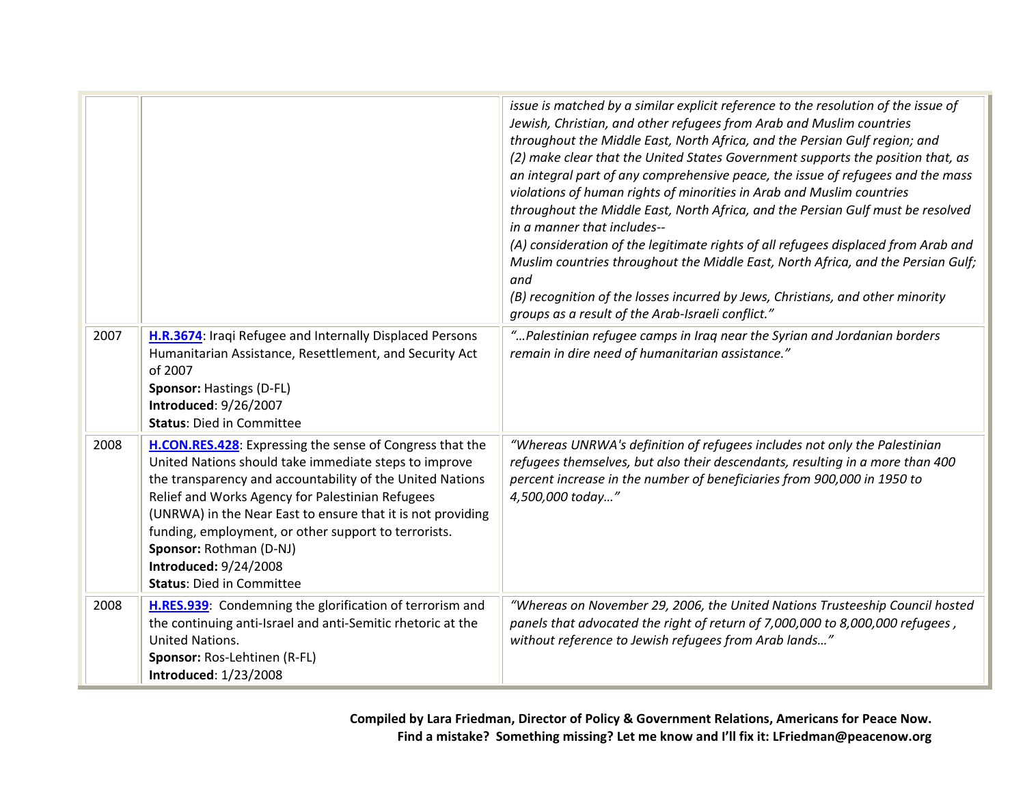|      |                                                                                                                                                                                                                                                                                                                                                                                                                                                          | issue is matched by a similar explicit reference to the resolution of the issue of<br>Jewish, Christian, and other refugees from Arab and Muslim countries<br>throughout the Middle East, North Africa, and the Persian Gulf region; and<br>(2) make clear that the United States Government supports the position that, as<br>an integral part of any comprehensive peace, the issue of refugees and the mass<br>violations of human rights of minorities in Arab and Muslim countries<br>throughout the Middle East, North Africa, and the Persian Gulf must be resolved<br>in a manner that includes--<br>(A) consideration of the legitimate rights of all refugees displaced from Arab and<br>Muslim countries throughout the Middle East, North Africa, and the Persian Gulf;<br>and<br>(B) recognition of the losses incurred by Jews, Christians, and other minority<br>groups as a result of the Arab-Israeli conflict." |
|------|----------------------------------------------------------------------------------------------------------------------------------------------------------------------------------------------------------------------------------------------------------------------------------------------------------------------------------------------------------------------------------------------------------------------------------------------------------|-----------------------------------------------------------------------------------------------------------------------------------------------------------------------------------------------------------------------------------------------------------------------------------------------------------------------------------------------------------------------------------------------------------------------------------------------------------------------------------------------------------------------------------------------------------------------------------------------------------------------------------------------------------------------------------------------------------------------------------------------------------------------------------------------------------------------------------------------------------------------------------------------------------------------------------|
| 2007 | H.R.3674: Iraqi Refugee and Internally Displaced Persons<br>Humanitarian Assistance, Resettlement, and Security Act<br>of 2007<br>Sponsor: Hastings (D-FL)<br><b>Introduced: 9/26/2007</b><br><b>Status: Died in Committee</b>                                                                                                                                                                                                                           | "Palestinian refugee camps in Iraq near the Syrian and Jordanian borders<br>remain in dire need of humanitarian assistance."                                                                                                                                                                                                                                                                                                                                                                                                                                                                                                                                                                                                                                                                                                                                                                                                      |
| 2008 | H.CON.RES.428: Expressing the sense of Congress that the<br>United Nations should take immediate steps to improve<br>the transparency and accountability of the United Nations<br>Relief and Works Agency for Palestinian Refugees<br>(UNRWA) in the Near East to ensure that it is not providing<br>funding, employment, or other support to terrorists.<br>Sponsor: Rothman (D-NJ)<br><b>Introduced: 9/24/2008</b><br><b>Status: Died in Committee</b> | "Whereas UNRWA's definition of refugees includes not only the Palestinian<br>refugees themselves, but also their descendants, resulting in a more than 400<br>percent increase in the number of beneficiaries from 900,000 in 1950 to<br>4,500,000 today"                                                                                                                                                                                                                                                                                                                                                                                                                                                                                                                                                                                                                                                                         |
| 2008 | H.RES.939: Condemning the glorification of terrorism and<br>the continuing anti-Israel and anti-Semitic rhetoric at the<br><b>United Nations.</b><br>Sponsor: Ros-Lehtinen (R-FL)<br>Introduced: 1/23/2008                                                                                                                                                                                                                                               | "Whereas on November 29, 2006, the United Nations Trusteeship Council hosted<br>panels that advocated the right of return of 7,000,000 to 8,000,000 refugees,<br>without reference to Jewish refugees from Arab lands"                                                                                                                                                                                                                                                                                                                                                                                                                                                                                                                                                                                                                                                                                                            |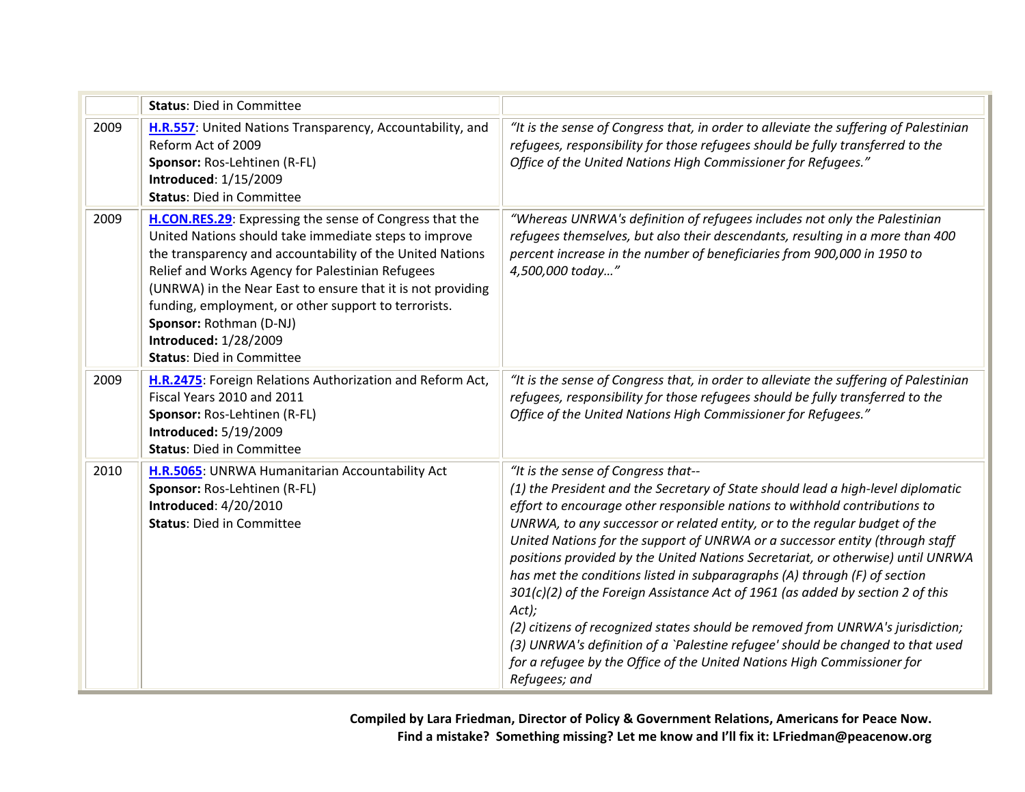|      | <b>Status: Died in Committee</b>                                                                                                                                                                                                                                                                                                                                                                                                                 |                                                                                                                                                                                                                                                                                                                                                                                                                                                                                                                                                                                                                                                                                                                                                                                                                                                                                                   |
|------|--------------------------------------------------------------------------------------------------------------------------------------------------------------------------------------------------------------------------------------------------------------------------------------------------------------------------------------------------------------------------------------------------------------------------------------------------|---------------------------------------------------------------------------------------------------------------------------------------------------------------------------------------------------------------------------------------------------------------------------------------------------------------------------------------------------------------------------------------------------------------------------------------------------------------------------------------------------------------------------------------------------------------------------------------------------------------------------------------------------------------------------------------------------------------------------------------------------------------------------------------------------------------------------------------------------------------------------------------------------|
| 2009 | H.R.557: United Nations Transparency, Accountability, and<br>Reform Act of 2009<br>Sponsor: Ros-Lehtinen (R-FL)<br>Introduced: 1/15/2009<br><b>Status: Died in Committee</b>                                                                                                                                                                                                                                                                     | "It is the sense of Congress that, in order to alleviate the suffering of Palestinian<br>refugees, responsibility for those refugees should be fully transferred to the<br>Office of the United Nations High Commissioner for Refugees."                                                                                                                                                                                                                                                                                                                                                                                                                                                                                                                                                                                                                                                          |
| 2009 | H.CON.RES.29: Expressing the sense of Congress that the<br>United Nations should take immediate steps to improve<br>the transparency and accountability of the United Nations<br>Relief and Works Agency for Palestinian Refugees<br>(UNRWA) in the Near East to ensure that it is not providing<br>funding, employment, or other support to terrorists.<br>Sponsor: Rothman (D-NJ)<br>Introduced: 1/28/2009<br><b>Status: Died in Committee</b> | "Whereas UNRWA's definition of refugees includes not only the Palestinian<br>refugees themselves, but also their descendants, resulting in a more than 400<br>percent increase in the number of beneficiaries from 900,000 in 1950 to<br>4,500,000 today"                                                                                                                                                                                                                                                                                                                                                                                                                                                                                                                                                                                                                                         |
| 2009 | H.R.2475: Foreign Relations Authorization and Reform Act,<br>Fiscal Years 2010 and 2011<br>Sponsor: Ros-Lehtinen (R-FL)<br>Introduced: 5/19/2009<br><b>Status: Died in Committee</b>                                                                                                                                                                                                                                                             | "It is the sense of Congress that, in order to alleviate the suffering of Palestinian<br>refugees, responsibility for those refugees should be fully transferred to the<br>Office of the United Nations High Commissioner for Refugees."                                                                                                                                                                                                                                                                                                                                                                                                                                                                                                                                                                                                                                                          |
| 2010 | H.R.5065: UNRWA Humanitarian Accountability Act<br>Sponsor: Ros-Lehtinen (R-FL)<br><b>Introduced: 4/20/2010</b><br><b>Status: Died in Committee</b>                                                                                                                                                                                                                                                                                              | "It is the sense of Congress that--<br>(1) the President and the Secretary of State should lead a high-level diplomatic<br>effort to encourage other responsible nations to withhold contributions to<br>UNRWA, to any successor or related entity, or to the regular budget of the<br>United Nations for the support of UNRWA or a successor entity (through staff<br>positions provided by the United Nations Secretariat, or otherwise) until UNRWA<br>has met the conditions listed in subparagraphs (A) through (F) of section<br>301(c)(2) of the Foreign Assistance Act of 1961 (as added by section 2 of this<br>$Act)$ ;<br>(2) citizens of recognized states should be removed from UNRWA's jurisdiction;<br>(3) UNRWA's definition of a `Palestine refugee' should be changed to that used<br>for a refugee by the Office of the United Nations High Commissioner for<br>Refugees; and |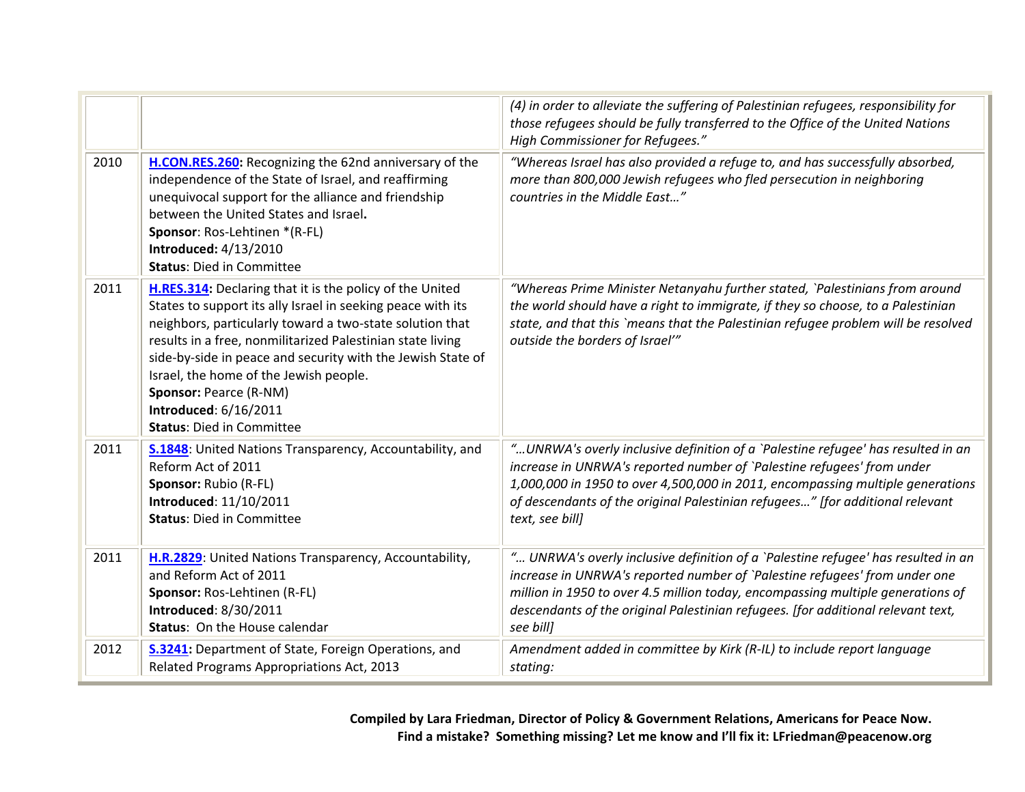|      |                                                                                                                                                                                                                                                                                                                                                                                                                                                   | (4) in order to alleviate the suffering of Palestinian refugees, responsibility for<br>those refugees should be fully transferred to the Office of the United Nations<br>High Commissioner for Refugees."                                                                                                                                           |
|------|---------------------------------------------------------------------------------------------------------------------------------------------------------------------------------------------------------------------------------------------------------------------------------------------------------------------------------------------------------------------------------------------------------------------------------------------------|-----------------------------------------------------------------------------------------------------------------------------------------------------------------------------------------------------------------------------------------------------------------------------------------------------------------------------------------------------|
| 2010 | H.CON.RES.260: Recognizing the 62nd anniversary of the<br>independence of the State of Israel, and reaffirming<br>unequivocal support for the alliance and friendship<br>between the United States and Israel.<br>Sponsor: Ros-Lehtinen *(R-FL)<br><b>Introduced: 4/13/2010</b><br><b>Status: Died in Committee</b>                                                                                                                               | "Whereas Israel has also provided a refuge to, and has successfully absorbed,<br>more than 800,000 Jewish refugees who fled persecution in neighboring<br>countries in the Middle East"                                                                                                                                                             |
| 2011 | H.RES.314: Declaring that it is the policy of the United<br>States to support its ally Israel in seeking peace with its<br>neighbors, particularly toward a two-state solution that<br>results in a free, nonmilitarized Palestinian state living<br>side-by-side in peace and security with the Jewish State of<br>Israel, the home of the Jewish people.<br>Sponsor: Pearce (R-NM)<br>Introduced: 6/16/2011<br><b>Status: Died in Committee</b> | "Whereas Prime Minister Netanyahu further stated, `Palestinians from around<br>the world should have a right to immigrate, if they so choose, to a Palestinian<br>state, and that this `means that the Palestinian refugee problem will be resolved<br>outside the borders of Israel""                                                              |
| 2011 | <b>S.1848:</b> United Nations Transparency, Accountability, and<br>Reform Act of 2011<br>Sponsor: Rubio (R-FL)<br>Introduced: 11/10/2011<br><b>Status: Died in Committee</b>                                                                                                                                                                                                                                                                      | " UNRWA's overly inclusive definition of a `Palestine refugee' has resulted in an<br>increase in UNRWA's reported number of `Palestine refugees' from under<br>1,000,000 in 1950 to over 4,500,000 in 2011, encompassing multiple generations<br>of descendants of the original Palestinian refugees" [for additional relevant<br>text, see bill]   |
| 2011 | H.R.2829: United Nations Transparency, Accountability,<br>and Reform Act of 2011<br>Sponsor: Ros-Lehtinen (R-FL)<br><b>Introduced: 8/30/2011</b><br>Status: On the House calendar                                                                                                                                                                                                                                                                 | " UNRWA's overly inclusive definition of a `Palestine refugee' has resulted in an<br>increase in UNRWA's reported number of `Palestine refugees' from under one<br>million in 1950 to over 4.5 million today, encompassing multiple generations of<br>descendants of the original Palestinian refugees. [for additional relevant text,<br>see bill] |
| 2012 | <b>S.3241:</b> Department of State, Foreign Operations, and<br>Related Programs Appropriations Act, 2013                                                                                                                                                                                                                                                                                                                                          | Amendment added in committee by Kirk (R-IL) to include report language<br>stating:                                                                                                                                                                                                                                                                  |